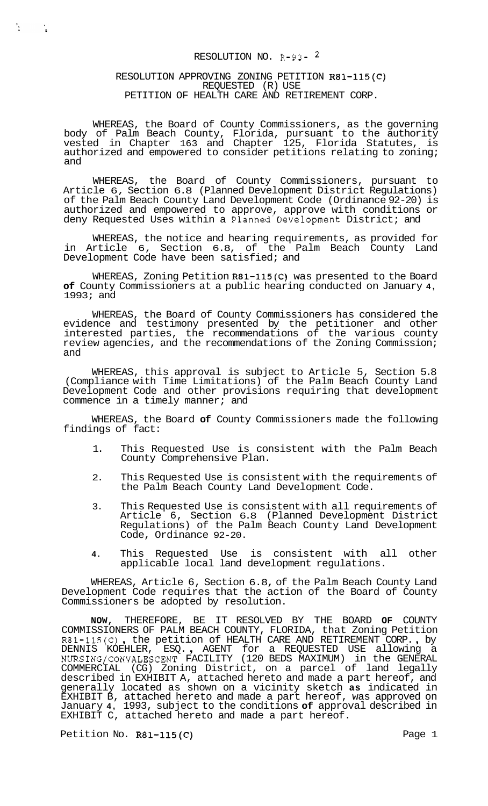# RESOLUTION NO. R-93-

### RESOLUTION APPROVING ZONING PETITION R81-115(C) REQUESTED (R) USE PETITION OF HEALTH CARE AND RETIREMENT CORP.

A.

 $\mathcal{L}_{\mathcal{A}}$ 

WHEREAS, the Board of County Commissioners, as the governing body of Palm Beach County, Florida, pursuant to the authority vested in Chapter 163 and Chapter 125, Florida Statutes, is authorized and empowered to consider petitions relating to zoning; and

WHEREAS, the Board of County Commissioners, pursuant to Article 6, Section 6.8 (Planned Development District Regulations) of the Palm Beach County Land Development Code (Ordinance 92-20) is authorized and empowered to approve, approve with conditions or deny Requested Uses within a Planned'Development District; and

WHEREAS, the notice and hearing requirements, as provided for in Article 6, Section 6.8, of the Palm Beach County Land Development Code have been satisfied; and

WHEREAS, Zoning Petition R81-115(C) was presented to the Board **of** County Commissioners at a public hearing conducted on January **4,**   $1993; \text{ and}$ 

WHEREAS, the Board of County Commissioners has considered the evidence and testimony presented by the petitioner and other interested parties, the recommendations of the various county review agencies, and the recommendations of the Zoning Commission; and

WHEREAS, this approval is subject to Article 5, Section 5.8 (Compliance with Time Limitations) of the Palm Beach County Land Development Code and other provisions requiring that development commence in a timely manner; and

WHEREAS, the Board **of** County Commissioners made the following findings of fact:

- 1. This Requested Use is consistent with the Palm Beach County Comprehensive Plan.
- 2. This Requested Use is consistent with the requirements of the Palm Beach County Land Development Code.
- 3. This Requested Use is consistent with all requirements of Article 6, Section 6.8 (Planned Development District Regulations) of the Palm Beach County Land Development Code, Ordinance 92-20.
- **4.** This Requested Use is consistent with all other applicable local land development regulations.

WHEREAS, Article 6, Section 6.8, of the Palm Beach County Land Development Code requires that the action of the Board of County Commissioners be adopted by resolution.

**NOW,** THEREFORE, BE IT RESOLVED BY THE BOARD **OF** COUNTY COMMISSIONERS OF PALM BEACH COUNTY, FLORIDA, that Zoning Petition<br>R81-115(C), the petition of HEALTH CARE AND RETIREMENT CORP., by R81-115(C), the petition of HEALTH CARE AND RETIREMENT CORP., by<br>DENNIS KOEHLER, ESQ., AGENT for a REQUESTED USE allowing a NURSING/CONVALESCENT FACILITY (120 BEDS MAXIMUM) in the GENERAL COMMERCIAL (CG) Zoning District, on a parcel of land legally described in EXHIBIT A, attached hereto and made a part hereof, and generally located as shown on a vicinity sketch **as** indicated in EXHIBIT B, attached hereto and made a part hereof, was approved on January **4,** 1993, subject to the conditions **of** approval described in EXHIBIT C, attached hereto and made a part hereof.

Petition No. R81-115(C) Petition No. 2011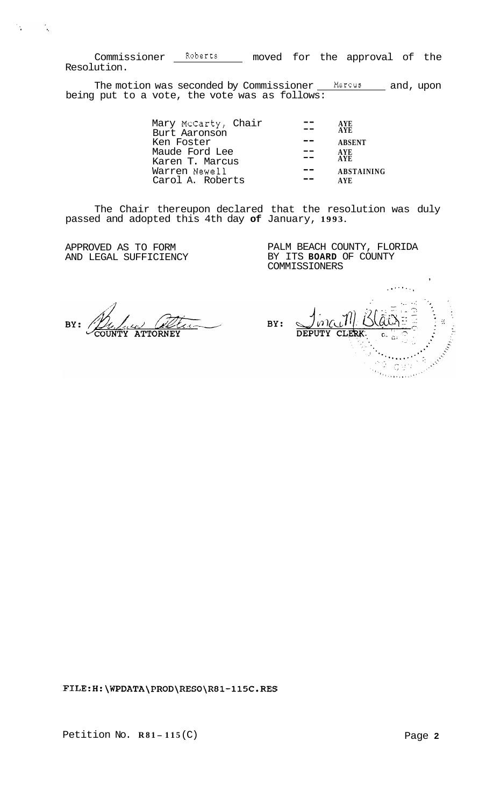Commissioner **Roberts** moved for the approval of the Resolution.

The motion was seconded by Commissioner **Marcus** and, upon being put to a vote, the vote was as follows:

| Mary McCarty, Chair<br>Burt Aaronson | <b>AYE</b><br><b>AVE</b> |
|--------------------------------------|--------------------------|
| Ken Foster                           | <b>ABSENT</b>            |
| Maude Ford Lee                       | <b>AYE</b>               |
| Karen T. Marcus                      | <b>AYE</b>               |
| Warren Newell                        | <b>ABSTAINING</b>        |
| Carol A. Roberts                     | A VE                     |

The Chair thereupon declared that the resolution was duly passed and adopted this 4th day **of** January, **1993.** 

APPROVED AS TO FORM AND LEGAL SUFFICIENCY

 $\mathcal{L}_{\text{max}}$  and  $\mathcal{L}_{\text{max}}$ 

PALM BEACH COUNTY, FLORIDA BY ITS **BOARD** OF COUNTY COMMISSIONERS

BY:

**..e.....**  BY: ബ **DEPUTY CLERK**  $\sim$  $\cdots$  $\frac{\partial}{\partial t}$  ,  $\frac{\partial}{\partial t}$  $\sigma_{t\alpha}$  ,  $\sigma_{t\alpha}$ 

,

**<FILE:H:\WPDATA\PROD\RESO\R81-11SC.RES>**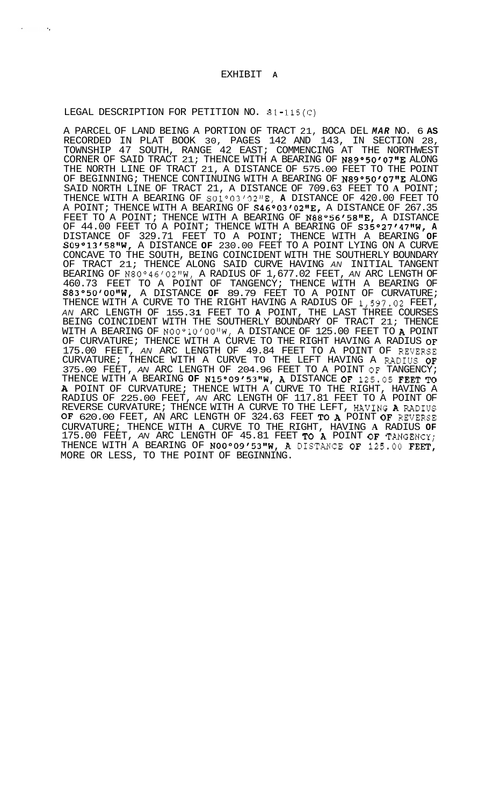#### EXHIBIT **<sup>A</sup>**

#### LEGAL DESCRIPTION FOR PETITION NO. 81-115(C)

 $\mathbf{A}_\mathrm{a}$ 

A PARCEL OF LAND BEING A PORTION OF TRACT 21, BOCA DEL *MAR* NO. 6 **AS**  RECORDED IN PLAT BOOK 30, PAGES 142 AND 143, IN SECTION 28, TOWNSHIP 47 SOUTH, RANGE 42 EAST; COMMENCING AT THE NORTHWEST CORNER OF SAID TRACT 21; THENCE WITH A BEARING OF  $N89°50'07"E$  ALONG THE NORTH LINE OF TRACT 21, A DISTANCE OF 575.00 FEET TO THE POINT OF BEGINNING; THENCE CONTINUING WITH A BEARING OF N89°50'07"E ALONG SAID NORTH LINE OF TRACT 21, A DISTANCE OF 709.63 FEET TO **A** POINT; THENCE WITH A BEARING OF S01°03'02"E, **A** DISTANCE OF 420.00 FEET TO A POINT; THENCE WITH A BEARING OF **S46°03'02"E,** A DISTANCE OF 267.35 FEET TO A POINT; THENCE WITH A BEARING OF N88°56'58"E, A DISTANCE OF 44.00 FEET TO A POINT; THENCE WITH A BEARING OF S35°27'471fW, **A**  DISTANCE OF 329.71 FEET TO A POINT; THENCE WITH A BEARING **OF**  S09°13'58"W, A DISTANCE **OF** 230.00 FEET TO A POINT LYING ON A CURVE CONCAVE TO THE SOUTH, BEING COINCIDENT WITH THE SOUTHERLY BOUNDARY OF TRACT 2 1; THENCE ALONG SAID CURVE HAVING *AN* INITIAL TANGENT BEARING OF N80°46'02"W, A RADIUS OF 1,677.02 FEET, *AN* ARC LENGTH OF 460.73 FEET TO A POINT OF TANGENCY; THENCE WITH A BEARING OF S83°50'00"W, A DISTANCE **OF** 89.79 FEET TO A POINT OF CURVATURE; THENCE WITH A CURVE TO THE RIGHT HAVING A RADIUS OF 1,597.02 FEET, *AN* ARC LENGTH OF 155.3 **1** FEET TO **A** POINT, THE LAST THREE COURSES BEING COINCIDENT WITH THE SOUTHERLY BOUNDARY OF TRACT 21; THENCE WITH A BEARING OF NOO°10'OO"W, A DISTANCE OF 125.00 FEET TO A POINT OF CURVATURE; THENCE WITH A CURVE TO THE RIGHT HAVING A RADIUS OF 175.00 FEET, *AN* ARC LENGTH OF 49.84 FEET TO A POINT OF REVERSE CURVATURE; THENCE WITH A CURVE TO THE LEFT HAVING A RADIUS **OF**  375.00 FEET, *AN* ARC LENGTH OF 204.96 FEET TO A POINT OF TANGENCY; THENCE WITH A BEARING **OF** N15°09'53"W, **A** DISTANCE OF 125.05 FEET TO A POINT OF CURVATURE; THENCE WITH A CURVE TO THE RIGHT, HAVING A RADIUS OF 225.00 FEET, *AN* ARC LENGTH OF 117.81 FEET TO A POINT OF REVERSE CURVATURE; THENCE WITH A CURVE TO THE LEFT, HAVING A RADIUS OF 620.00 FEET, AN ARC LENGTH OF 324.63 FEET TO A POINT OF REVERSE CURVATURE; THENCE WITH **A** CURVE TO THE RIGHT, HAVING **A** RADIUS **OF**  175.00 FEET, *AN* ARC LENGTH OF 45.81 FEET TO A POINT OF TANGENCY; THENCE WITH A BEARING OF N00°09'53"W, A DISTANCE OF 125.00 FEET, MORE OR LESS, TO THE POINT OF BEGINNING.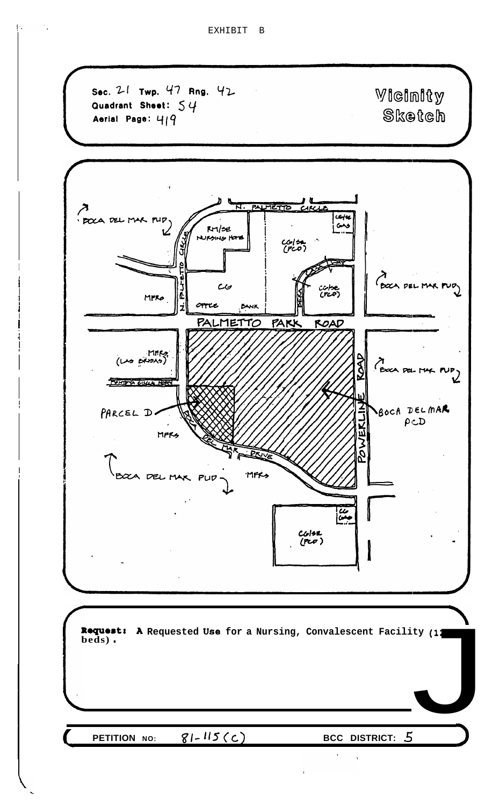

Ŀ.

I i I j i I *I*  i

I

i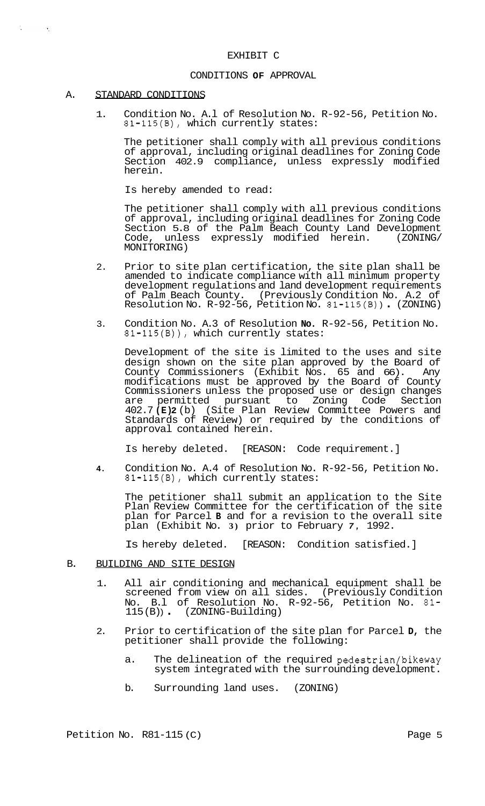### EXHIBIT C

## CONDITIONS **OF** APPROVAL

#### A. STANDARD CONDITIONS

 $\mathbf{V}^{\mathrm{max}}$ 

 $\sim$   $\lambda_{\rm c}$ 

1. Condition No. A.l of Resolution No. R-92-56, Petition No. 81-115(B), which currently states:

The petitioner shall comply with all previous conditions of approval, including original deadlines for Zoning Code Section 402.9 compliance, unless expressly modified herein.

Is hereby amended to read:

The petitioner shall comply with all previous conditions of approval, including original deadlines for Zoning Code Section 5.8 of the Palm Beach County Land Development Code, unless expressly modified herein. (ZONING/ MONITORING)

- 2. Prior to site plan certification, the site plan shall be amended to indicate compliance with all minimum property development regulations and land development requirements of Palm Beach County. (Previously Condition No. A.2 of Resolution No. R-92-56, Petition No. 81-115(B) ) . (ZONING)
- 3. Condition No. A.3 of Resolution **No.** R-92-56, Petition No. 81-115(B)), which currently states:

Development of the site is limited to the uses and site design shown on the site plan approved by the Board of County Commissioners (Exhibit Nos. 65 and 66). Any modifications must be approved by the Board of County Commissioners unless the proposed use or design changes permitted pursuant to Zoning Code 402.7 **(E) 2** (b) (Site Plan Review Committee Powers and Standards of Review) or required by the conditions of approval contained herein.

Is hereby deleted. [REASON: Code requirement.]

**4.** Condition No. A.4 of Resolution No. R-92-56, Petition No. 81-115(B), which currently states:

The petitioner shall submit an application to the Site Plan Review Committee for the certification of the site plan for Parcel **B** and for a revision to the overall site plan (Exhibit No. **3)** prior to February *7,* 1992.

Is hereby deleted. [REASON: Condition satisfied.]

### B. BUILDING AND SITE DESIGN

- 1. All air conditioning and mechanical equipment shall be screened from view on all sides. (Previously Condition No. B.l of Resolution No. R-92-56, Petition No. 81- 115 (B) ) . (ZONING-Building)
- 2. Prior to certification of the site plan for Parcel **D,** the petitioner shall provide the following:
	- a. The delineation of the required pedestrian/bikeway system integrated with the surrounding development.
	- b. Surrounding land uses. (ZONING)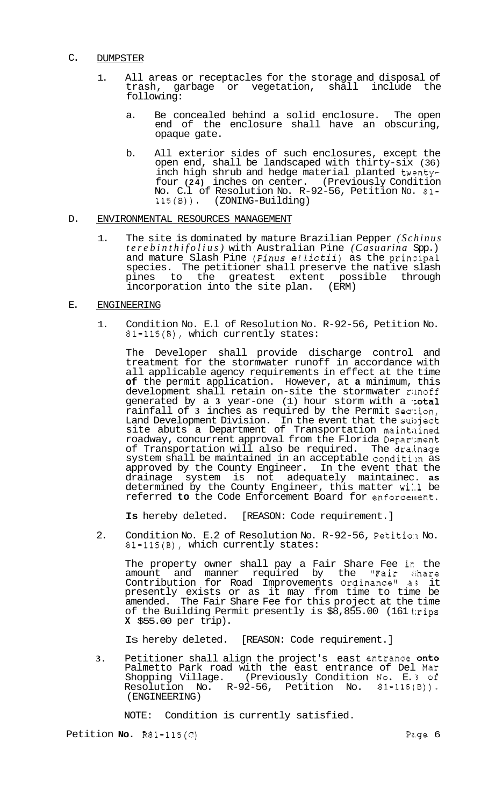### C. DUMPSTER

- 1. All areas or receptacles for the storage and disposal of trash, garbage or vegetation, shall include the trash, garbage or vegetation, shall following:
	- a. Be concealed behind a solid enclosure. The open end of the enclosure shall have an obscuring, opaque gate.
	- b. All exterior sides of such enclosures, except the open end, shall be landscaped with thirty-six (36) inch high shrub and hedge material planted twentyfour **(24)** inches on center. (Previously Condition No. C.l of Resolution No. R-92-56, Petition No. 81- 115(B)). (ZONING-Building)

### D. ENVIRONMENTAL RESOURCES MANAGEMENT

1. The site is dominated by mature Brazilian Pepper *(Schinus terebinthifolius)* with Australian Pine *(Casuarina* Spp.) and mature Slash Pine *(Pinus elliotii)* as the prinzipal species. The petitioner shall preserve the native slash pines to the greatest extent possible through incorporation into the site plan. (ERM)

### E. ENGINEERING

1. Condition No. E.l of Resolution No. R-92-56, Petition No. 81-115(B), which currently states:

The Developer shall provide discharge control and treatment for the stormwater runoff in accordance with all applicable agency requirements in effect at the time **of** the permit application. However, at **a** minimum, this development shall retain on-site the stormwater runoff generated by a 3 year-one (1) hour storm with a **cotal** rainfall of 3 inches as required by the Permit Section, Land Development Division. In the event that the subject site abuts a Department of Transportation maintained roadway, concurrent approval from the Florida Depar':ment of Transportation will also be required. The dra.inage system shall be maintained in an acceptable condition as approved by the County Engineer. In the event that the drainage system is not adequately maintainec. **as**  determined by the County Engineer, this matter will be referred to the Code Enforcement Board for enforcement.

**Is** hereby deleted. [REASON: Code requirement.]

2. Condition No. E.2 of Resolution No. R-92-56, Petitio:1 No. 81-115(B), which currently states:

The property owner shall pay a Fair Share Fee ir the amount and manner required by the "Fair Share Contribution for Road Improvements Ordinance" a; it presently exists or as it may from time to time be amended. The Fair Share Fee for this project at the time of the Building Permit presently is \$8,855.00 (161 trips **X** \$55.00 per trip).

IS hereby deleted. [REASON: Code requirement.]

**3.** Petitioner shall align the project's east entrance onto Palmetto Park road with the east entrance of Del Mar Shopping Village. (Previously Condition No. E.<sup>3</sup> of<br>Resolution No. R-92-56, Petition No. 81-115(B)). No. R-92-56, Petition No. (ENGINEERING)

NOTE: Condition is currently satisfied.

Petition **No.**  $R81-115(C)$  Page 6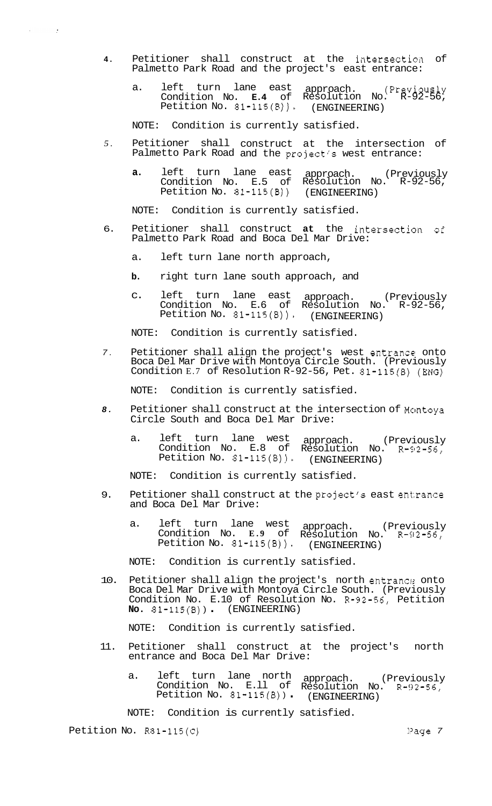- **4.** Petitioner shall construct at the intersection of Palmetto Park Road and the project's east entrance:
	- a. left turn lane east approach. (Previously Condition No. **E.4** of Resolution No. R-92-56, Petition No. 81-115(B)). (ENGINEERING)

NOTE: Condition is currently satisfied.

 $\mathcal{L}^{\text{max}}$ 

 $\sim$  2  $^\circ$ 

- *5.* Petitioner shall construct at the intersection of Palmetto Park Road and the project's west entrance:
	- **a.** left turn lane east approach. (Previously Condition No. E.5 of Resolution No. R-92-56,<br>Petition No. 81-115(B)) (ENGINEERING) Petition No.  $81-115(B)$ )

NOTE: Condition is currently satisfied.

- 6. Petitioner shall construct **at** the intersection of Palmetto Park Road and Boca Del Mar Drive:
	- a. left turn lane north approach,
	- **b.** right turn lane south approach, and
	- c. left turn lane east approach. (Previously Condition No. E.6 of Resolution No. R-92-56, Petition No. 81-115(B)). (ENGINEERING)

NOTE: Condition is currently satisfied.

7. Petitioner shall align the project's west entrance onto Boca Del Mar Drive with Montoya Circle South. (Previously Condition E.7 of Resolution R-92-56, Pet. 81-115(B) (ENG)

NOTE: Condition is currently satisfied.

- 8. Petitioner shall construct at the intersection of Montoya Circle South and Boca Del Mar Drive:
	- a. left turn lane west approach. (Previously Condition No. E.8 of Resolution No. R-92-56, Petition No. 81-115(8)). (ENGINEERING)

NOTE: Condition is currently satisfied.

- 9. Petitioner shall construct at the project's east entrance and Boca Del Mar Drive:
	- a. left turn lane west approach. (Previously Condition No. **E.9** of Resolution No. R-92-56, Petition No. 81-115(B)). (ENGINEERING)

NOTE: Condition is currently satisfied.

10. Petitioner shall align the project's north entrance onto Boca Del Mar Drive with Montoya Circle South. (Previously Condition No. E.10 of Resolution No. R-92-56, Petition **No.** 81-115(B) ) . (ENGINEERING)

NOTE: Condition is currently satisfied.

- 11. Petitioner shall construct at the project's north entrance and Boca Del Mar Drive:
	- a. left turn lane north approach. (Previously Condition No. E.ll of Resolution No. R-92-56, Petition No. 81-115(B) ) . (ENGINEERING)

NOTE: Condition is currently satisfied.

Petition No. R81-115(C) **1223** 23 and 23 and 23 and 23 and 23 and 23 and 23 and 23 and 23 and 23 and 23 and 23 and 23 and 23 and 23 and 23 and 23 and 23 and 23 and 23 and 23 and 23 and 23 and 23 and 23 and 23 and 23 and 23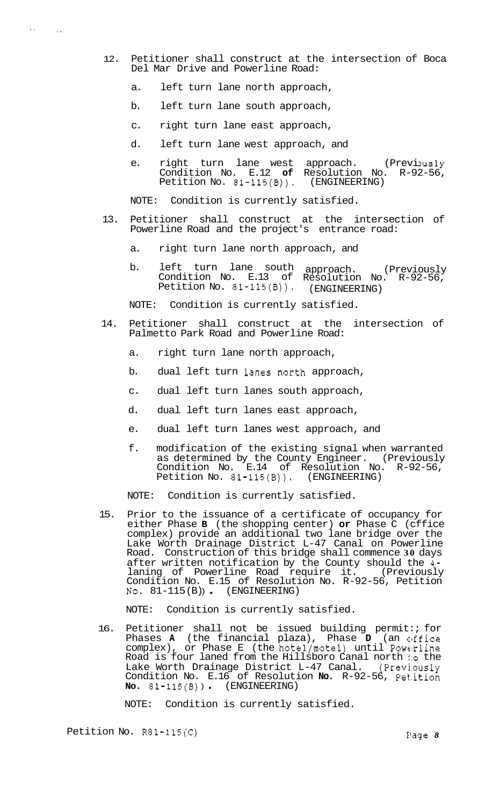- 12. Petitioner shall construct at the intersection of Boca Del Mar Drive and Powerline Road:
	- a. left turn lane north approach,

 $\lambda$  ,  $\lambda$ 

 $\ddotsc$ 

- b. left turn lane south approach,
- c. right turn lane east approach,
- d. left turn lane west approach, and
- e. right turn lane west approach. (Previously Condition No. E.12 **of** Resolution No. R-92-56, Petition No. 81-115(B)). (ENGINEERING)

NOTE: Condition is currently satisfied.

- 13. Petitioner shall construct at the intersection of Powerline Road and the project's entrance road:
	- a. right turn lane north approach, and
	- b. left turn lane south approach. (Previously Condition No. E.13 of Resolution No. R-92-56, Petition No. 81-115(B)). (ENGINEERING)

NOTE: Condition is currently satisfied.

- 14. Petitioner shall construct at the intersection of Palmetto Park Road and Powerline Road:
	- a. right turn lane north approach,
	- b. dual left turn lanes north approach,
	- c. dual left turn lanes south approach,
	- d. dual left turn lanes east approach,
	- e. dual left turn lanes west approach, and
	- f. modification of the existing signal when warranted as determined by the County Engineer. (Previously Condition No. E.14 of Resolution No. R-92-56, Petition No. 81-115(B)). (ENGINEERING)

NOTE: Condition is currently satisfied.

15. Prior to the issuance of a certificate of occupancy for either Phase **B** (the shopping center) **or** Phase C (cffice complex) provide an additional two lane bridge over the Lake Worth Drainage District L-47 Canal on Powerline Road. Construction of this bridge shall commence **30** days after written notification by the County should the **4**  laning of Powerline Road require it. (Previously Condition No. E.15 of Resolution No. R-92-56, Petition NO. 81-115 (B) ) . (ENGINEERING)

NOTE: Condition is currently satisfied.

16. Petitioner shall not be issued building permit:; for Phases **A** (the financial plaza), Phase **D** (an clffice complex), or Phase E (the hotel/motel) until Powcrline Road is four laned from the Hillsboro Canal north **t:o** the Lake Worth Drainage District L-47 Canal. (Prevj.ously Condition No. E.16 of Resolution **No.** R-92-56, Pet.ition **No.** 81-115(B) ) . (ENGINEERING)

NOTE: Condition is currently satisfied.

Petition No. R81-115(C) **I**<sup>1</sup> age *8*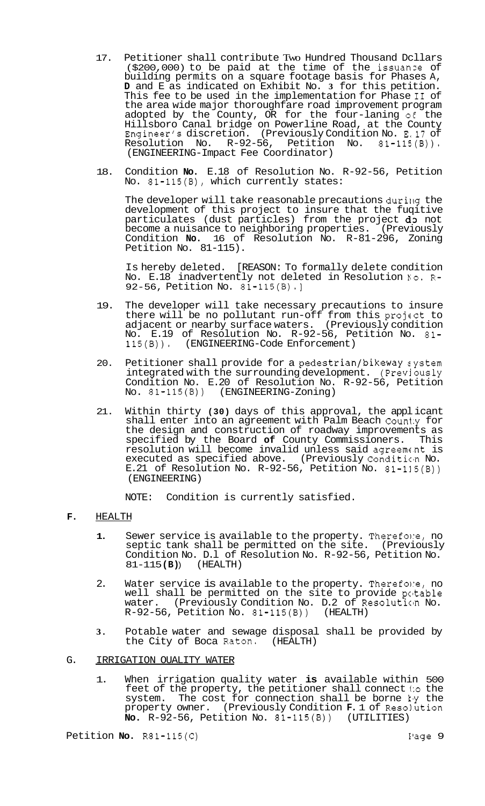- 17. Petitioner shall contribute Two Hundred Thousand Dcllars (\$200,000) to be paid at the time of the issuanze of building permits on a square footage basis for Phases A, **D** and E as indicated on Exhibit No. **3** for this petition. This fee to be used in the implementation for Phase I1 of the area wide major thoroughfare road improvement program adopted by the County, OR for the four-laning of the Hillsboro Canal bridge on Powerline Road, at the County Engineer's discretion. (Previously Condition No. E,17 of Resolution No. R-92-56, Petition No. 81-115(B)). (ENGINEERING-Impact Fee Coordinator)
- 18. Condition **No.** E.18 of Resolution No. R-92-56, Petition No. 81-115(B), which currently states:

The developer will take reasonable precautions durilig the development of this project to insure that the fuqitive particulates (dust particles) from the project **do** not become a nuisance to neighboring properties. (Previously Condition **No.** 16 of Resolution No. R-81-296, Zoning Petition No. 81-115).

Is hereby deleted. [REASON: To formally delete condition No. E.18 inadvertently not deleted in Resolution **80.** R-92-56, Petition No. 81-115(B).]

- 19. The developer will take necessary precautions to insure there will be no pollutant run-off from this projcct to adjacent or nearby surface waters. (Previously condition No. E.19 of Resolution No. R-92-56, Petition No. 81-<br>115(B)), (ENGINEERING-Code Enforcement) (ENGINEERING-Code Enforcement)
- 20. Petitioner shall provide for a pedestrian/bikeway system integrated with the surrounding development. (Previously Condition No. E.20 of Resolution No. R-92-56, Petition No. 81-115(B)) (ENGINEERING-Zoning)
- 21. Within thirty **(30)** days of this approval, the appl icant shall enter into an agreement with Palm Beach Counl:y for the design and construction of roadway improvements as specified by the Board **of** County Commissioners. This resolution will become invalid unless said agreemc.nt is executed as specified above. (Previously Condition No. E.21 of Resolution No. R-92-56, Petition No. 81-135(B)) (ENGINEERING)

NOTE: Condition is currently satisfied.

- **F.** HEALTH
	- **1.** Sewer service is available to the property. Therefoi:e, no septic tank shall be permitted on the site. (Previously Condition No. D.1 of Resolution No. R-92-56, Petition No.<br>81-115(B)) (HEALTH) 81-115 (B)
	- 2. Water service is available to the property. Therefone, no well shall be permitted on the site to provide pctable water. (Previously Condition No. D.2 of Resolution No. R-92-56, Petition No. 81-115(B)) (HEALTH)
	- **3.** Potable water and sewage disposal shall be provided by the City of Boca Raton. (HEALTH)
- G. IRRIGATION OUALITY WATER
	- 1. When irrigation quality water **is** available within 500 feet of the property, the petitioner shall connect **1:o** the system. The cost for connection shall be borne  $ky$  the property owner. (Previously Condition **F.** 1 of Resol.ution **No.** R-92-56, Petition No. 81-115(B)) (UTILITIES)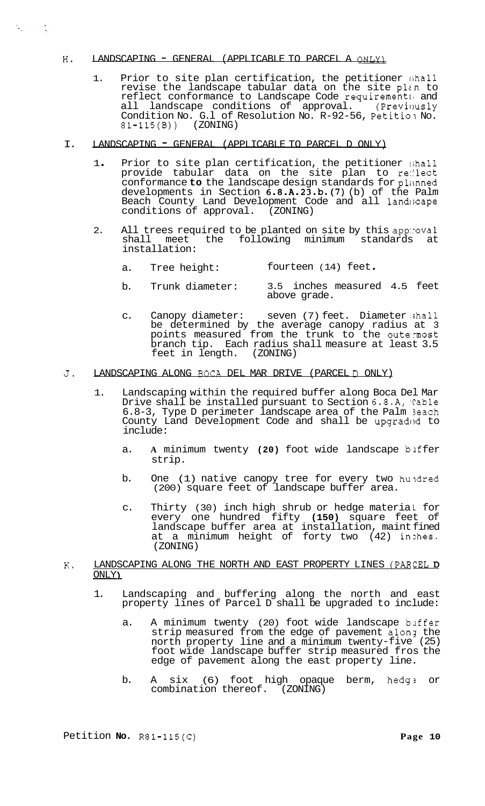#### H. LANDSCAPING - GENERAL (APPLICABLE TO PARCEL A ONLY)

 $\mathcal{L}_{\mathcal{L}_{\mathcal{L}}}$ 

 $\mathcal{L}_{\mathcal{A}}$ 

- 1. Prior to site plan certification, the petitioner shall revise the landscape tabular data on the site plan to reflect conformance to Landscape Code requirements and<br>all landscape conditions of approval. (Previously all landscape conditions of approval. Condition No. G.1 of Resolution No.  $R-92-56$ , Petition No.  $81-115(8)$  (ZONING)  $81 - 115(8)$
- I. LANDSCAPING GENERAL (APPLICABLE TO PARCEL D ONLY)
	- 1. Prior to site plan certification, the petitioner shall provide tabular data on the site plan to reflect conformance to the landscape design standards for planned developments in Section 6.8.A.23.b.(7) (b) of the Palm Beach County Land Development Code and all landscape conditions of approval. (ZONING)
	- 2. All trees required to be planted on site by this app:oval shall meet the following minimum standards at installation:
		- a. Tree height: fourteen (14) feet.
		- b. Trunk diameter: 3.5 inches measured 4.5 feet above grade.
		- c. Canopy diameter: seven (7) feet. Diameter shall be determined by the average canopy radius at 3 points measured from the trunk to the oute:most branch tip. Each radius shall measure at least 3.5 feet in length. (ZONING) feet in length.
- **J.** LANDSCAPING ALONG BOCA DEL MAR DRIVE (PARCEL D ONLY)
	- 1. Landscaping within the required buffer along Boca Del Mar Drive shall be installed pursuant to Section 6.8.A, Table 6.8-3, Type D perimeter landscape area of the Palm 3each County Land Development Code and shall be upgraded to include:
		- a. **A** minimum twenty **(20)** foot wide landscape blf fer strip.
		- b. One (1) native canopy tree for every two hundred (200) square feet of landscape buffer area.
		- c. Thirty (30) inch high shrub or hedge material for every one hundred fifty **(150)** square feet of landscape buffer area at installation, maint fined at a minimum height of forty two (42) inzhes. (ZONING)
- **K.** LANDSCAPING ALONG THE NORTH AND EAST PROPERTY LINES (PARCEL D ONLY **1** 
	- 1. Landscaping and buffering along the north and east property lines of Parcel D shall be upgraded to include:
		- a. A minimum twenty (20) foot wide landscape buffer strip measured from the edge of pavement along the north property line and a minimum twenty-five (25) foot wide landscape buffer strip measured fros the edge of pavement along the east property line.
		- b. A six (6) foot high opaque berm, hedg? or combination thereof. (ZONING)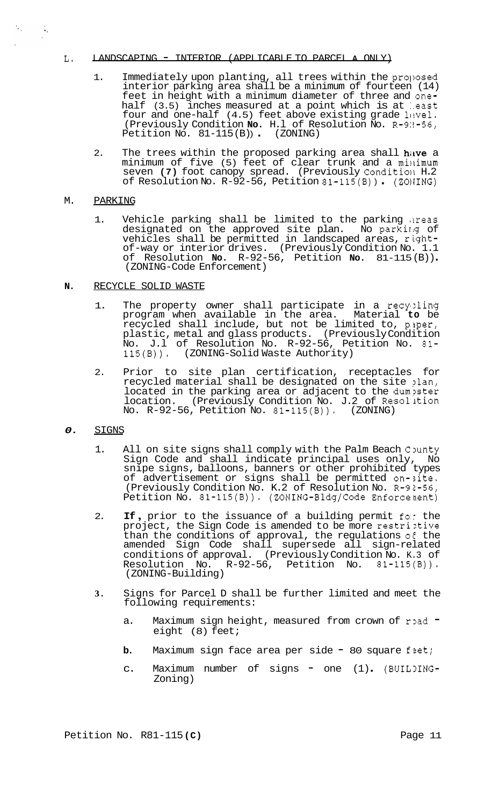### L. LANDSCAPING - INTERIOR (APPLICABLE TO PARCEL **A** ONLY)

- 1. Immediately upon planting, all trees within the proposed interior parking area shall be a minimum of fourteen (14) feet in height with a minimum diameter of three and onehalf (3.5) inches measured at a point which is at seast four and one-half  $(4.5)$  feet above existing grade level. (Previously Condition **No.** H.l of Resolution No. R-9:!-56, Petition No. 81-115 (B) ) . (ZONING)
- 2. The trees within the proposed parking area shall have a minimum of five (5) feet of clear trunk and a minimum seven (7) foot canopy spread. (Previously Condition H.2<br>of Resolution No. R-92-56, Petition 81–115(B)) . (ZONING)

### M. PARKING

 $\mathcal{F}_{\mathbf{r},\mathbf{r}}$  ,  $\mathcal{F}_{\mathbf{r},\mathbf{r}}$ 

Λ.

1. Vehicle parking shall be limited to the parking areas designated on the approved site plan. No parki1.g of vehicles shall be permitted in landscaped areas, rightof-way or interior drives. (Previously Condition No. 1.1 of Resolution **No.** R-92-56, Petition **No.** 81-115 (B)) . (ZONING-Code Enforcement)

### **N.** RECYCLE SOLID WASTE

- 1. The property owner shall participate in a recycling program when available in the area. Material **to** be recycled shall include, but not be limited to, paper, plastic, metal and glass products. (Previously Condition No. J.l of Resolution No. R-92-56, Petition No. 81- 115(B)). (ZONING-Solid Waste Authority)
- 2. Prior to site plan certification, receptacles for recycled material shall be designated on the site ?lan, located in the parking area or adjacent to the dum?ster location. (Previously Condition No. J.2 of Resolition No. R-92-56, Petition No. 81-115(B)). (ZONING)

### $0.$  SIGNS

- 1. All on site signs shall comply with the Palm Beach County Sign Code and shall indicate principal uses only, No snipe signs, balloons, banners or other prohibited types of advertisement or signs shall be permitted on-site. (Previously Condition No. K.2 of Resolution No. R-92-56, Petition No. 81-115(B)). (ZONING-Bldg/Code Enforcenent)
- 2. **If,** prior to the issuance of a building permit for the project, the Sign Code is amended to be more restriztive than the conditions of approval, the regulations *o€* the amended Sign Code shall supersede all sign-related conditions of approval. (Previously Condition No. K.3 of Resolution  $No.$  R-92-56, Petition No.  $81-115(B)$ ). (ZONING-Building)
- **3.** Signs for Parcel D shall be further limited and meet the following requirements:
	- a. Maximum sign height, measured from crown of  $r$  ad  $$ eight (8) feet;
	- **b.** Maximum sign face area per side 80 square feet;
	- c. Maximum number of signs one (1). (BUILDING-Zoning)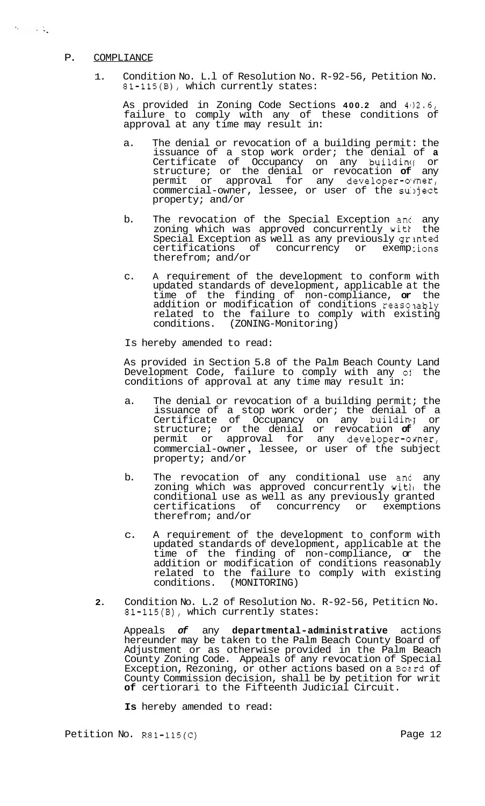### P. COMPLIANCE

 $\mathcal{H}^{\pm}=\mathcal{H}^{\pm}$  ,  $\mathcal{H}^{\pm}$ 

1. Condition No. L.l of Resolution No. R-92-56, Petition No. 81-115(B), which currently states:

As provided in Zoning Code Sections 400.2 and 402.6, failure to comply with any of these conditions of approval at any time may result in:

- a. The denial or revocation of a building permit: the issuance of a stop work order; the denial of **a**  Certificate of Occupancy on any building or structure; or the denial or revocation **of** any permit or approval for any developer-omer, commercial-owner, lessee, or user of the subject property; and/or
- b. The revocation of the Special Exception anc. any zoning which was approved concurrently with the Special Exception as well as any previously granted certifications of concurrency or exemp;ions therefrom; and/or
- c. A requirement of the development to conform with updated standards of development, applicable at the time of the finding of non-compliance, **or** the addition or modification of conditions reasonably related to the failure to comply with existing conditions. (ZONING-Monitoring)

Is hereby amended to read:

As provided in Section 5.8 of the Palm Beach County Land Development Code, failure to comply with any **01'** the conditions of approval at any time may result in:

- a. The denial or revocation of a building permit; the issuance of a stop work order; the denial of a Certificate of Occupancy on any building or structure; or the denial or revocation **of** any permit or approval for any developer-omer, commercial-owner , lessee, or user of the subject property; and/or
- b. The revocation of any conditional use and any zoning which was approved concurrently with the conditional use as well as any previously granted certifications of concurrency or exemptions therefrom; and/or
- c. A requirement of the development to conform with updated standards of development, applicable at the time of the finding of non-compliance, or the addition or modification of conditions reasonably related to the failure to comply with existing conditions. (MONITORING)
- **2.** Condition No. L.2 of Resolution No. R-92-56, Petiticn No. 81-115(B), which currently states:

Appeals *of* any **departmental-administrative** actions hereunder may be taken to the Palm Beach County Board of Adjustment or as otherwise provided in the Palm Beach County Zoning Code. Appeals of any revocation of Special Exception, Rezoning, or other actions based on a Bozrd of County Commission decision, shall be by petition for writ **of** certiorari to the Fifteenth Judicial Circuit.

**Is** hereby amended to read:

Petition No. R81-115(C) Petition No. 2011-115(C)